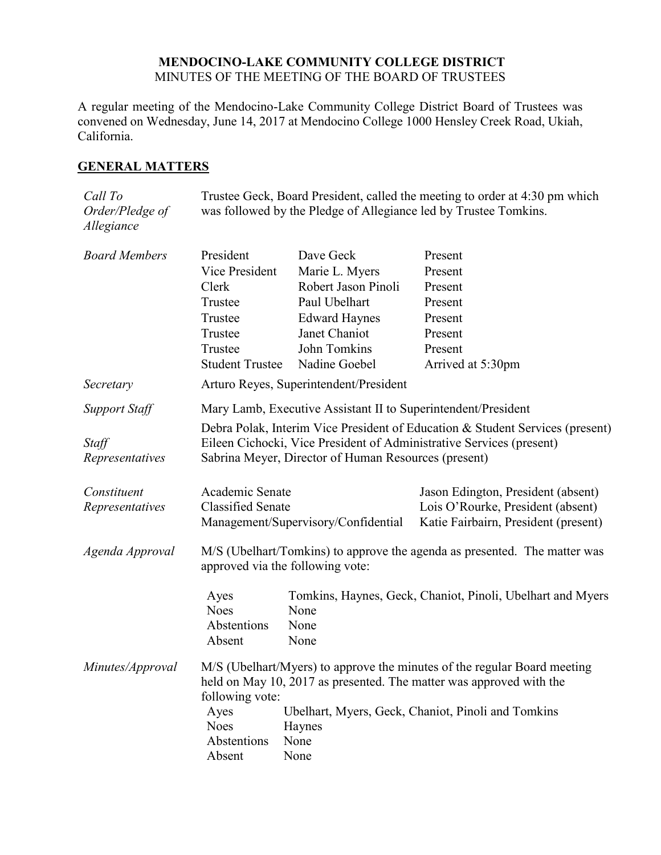## **MENDOCINO-LAKE COMMUNITY COLLEGE DISTRICT** MINUTES OF THE MEETING OF THE BOARD OF TRUSTEES

A regular meeting of the Mendocino-Lake Community College District Board of Trustees was convened on Wednesday, June 14, 2017 at Mendocino College 1000 Hensley Creek Road, Ukiah, California.

## **GENERAL MATTERS**

| Call To<br>Order/Pledge of<br>Allegiance | Trustee Geck, Board President, called the meeting to order at 4:30 pm which<br>was followed by the Pledge of Allegiance led by Trustee Tomkins. |                                                            |                                                                               |  |  |
|------------------------------------------|-------------------------------------------------------------------------------------------------------------------------------------------------|------------------------------------------------------------|-------------------------------------------------------------------------------|--|--|
| <b>Board Members</b>                     | President                                                                                                                                       | Dave Geck                                                  | Present                                                                       |  |  |
|                                          | Vice President                                                                                                                                  | Marie L. Myers                                             | Present                                                                       |  |  |
|                                          | Clerk                                                                                                                                           | Robert Jason Pinoli<br>Paul Ubelhart                       | Present                                                                       |  |  |
|                                          | Trustee<br>Trustee                                                                                                                              |                                                            | Present<br>Present                                                            |  |  |
|                                          | Trustee                                                                                                                                         | <b>Edward Haynes</b><br>Janet Chaniot                      | Present                                                                       |  |  |
|                                          | Trustee                                                                                                                                         | John Tomkins                                               | Present                                                                       |  |  |
|                                          | <b>Student Trustee</b>                                                                                                                          | Nadine Goebel                                              | Arrived at 5:30pm                                                             |  |  |
| Secretary                                |                                                                                                                                                 | Arturo Reyes, Superintendent/President                     |                                                                               |  |  |
|                                          |                                                                                                                                                 |                                                            |                                                                               |  |  |
| Support Staff                            | Mary Lamb, Executive Assistant II to Superintendent/President                                                                                   |                                                            |                                                                               |  |  |
|                                          |                                                                                                                                                 |                                                            | Debra Polak, Interim Vice President of Education & Student Services (present) |  |  |
| Staff                                    |                                                                                                                                                 |                                                            | Eileen Cichocki, Vice President of Administrative Services (present)          |  |  |
| Representatives                          |                                                                                                                                                 | Sabrina Meyer, Director of Human Resources (present)       |                                                                               |  |  |
| Constituent                              | Academic Senate                                                                                                                                 |                                                            | Jason Edington, President (absent)                                            |  |  |
| Representatives                          | <b>Classified Senate</b><br>Management/Supervisory/Confidential                                                                                 |                                                            | Lois O'Rourke, President (absent)<br>Katie Fairbairn, President (present)     |  |  |
|                                          |                                                                                                                                                 |                                                            |                                                                               |  |  |
| Agenda Approval                          | M/S (Ubelhart/Tomkins) to approve the agenda as presented. The matter was<br>approved via the following vote:                                   |                                                            |                                                                               |  |  |
|                                          | Ayes                                                                                                                                            | Tomkins, Haynes, Geck, Chaniot, Pinoli, Ubelhart and Myers |                                                                               |  |  |
|                                          | <b>Noes</b>                                                                                                                                     | None                                                       |                                                                               |  |  |
|                                          | Abstentions                                                                                                                                     | None                                                       |                                                                               |  |  |
|                                          | Absent                                                                                                                                          | None                                                       |                                                                               |  |  |
| Minutes/Approval                         | M/S (Ubelhart/Myers) to approve the minutes of the regular Board meeting                                                                        |                                                            |                                                                               |  |  |
|                                          | held on May 10, 2017 as presented. The matter was approved with the                                                                             |                                                            |                                                                               |  |  |
|                                          | following vote:                                                                                                                                 |                                                            |                                                                               |  |  |
|                                          | <b>Noes</b>                                                                                                                                     | Ubelhart, Myers, Geck, Chaniot, Pinoli and Tomkins<br>Ayes |                                                                               |  |  |
|                                          | Haynes<br>Abstentions<br>None                                                                                                                   |                                                            |                                                                               |  |  |
|                                          | Absent<br>None                                                                                                                                  |                                                            |                                                                               |  |  |
|                                          |                                                                                                                                                 |                                                            |                                                                               |  |  |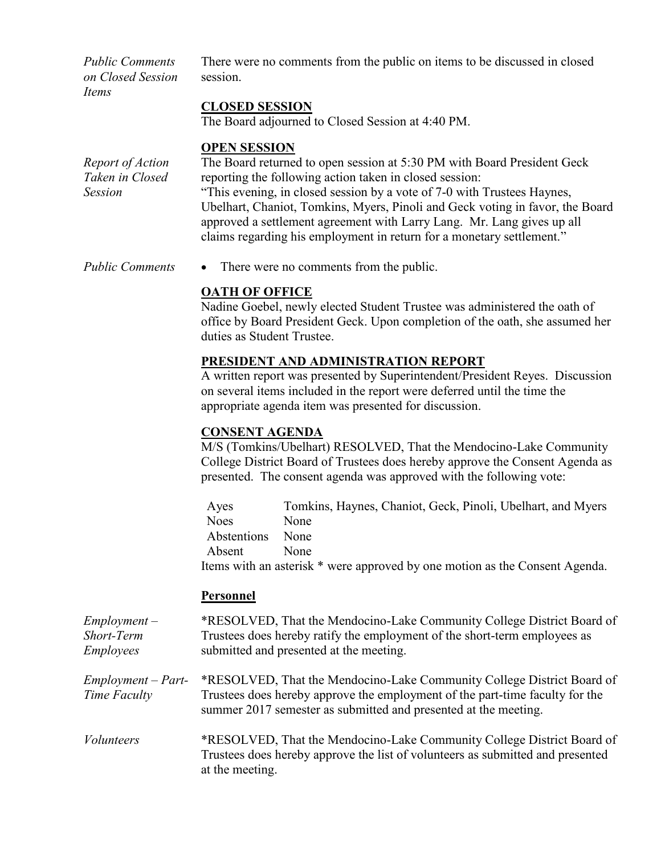*Public Comments on Closed Session Items*

There were no comments from the public on items to be discussed in closed session.

## **CLOSED SESSION**

The Board adjourned to Closed Session at 4:40 PM.

#### **OPEN SESSION**

*Report of Action Taken in Closed Session* The Board returned to open session at 5:30 PM with Board President Geck reporting the following action taken in closed session: "This evening, in closed session by a vote of 7-0 with Trustees Haynes, Ubelhart, Chaniot, Tomkins, Myers, Pinoli and Geck voting in favor, the Board approved a settlement agreement with Larry Lang. Mr. Lang gives up all claims regarding his employment in return for a monetary settlement."

*Public Comments* • There were no comments from the public.

#### **OATH OF OFFICE**

Nadine Goebel, newly elected Student Trustee was administered the oath of office by Board President Geck. Upon completion of the oath, she assumed her duties as Student Trustee.

### **PRESIDENT AND ADMINISTRATION REPORT**

A written report was presented by Superintendent/President Reyes. Discussion on several items included in the report were deferred until the time the appropriate agenda item was presented for discussion.

#### **CONSENT AGENDA**

M/S (Tomkins/Ubelhart) RESOLVED, That the Mendocino-Lake Community College District Board of Trustees does hereby approve the Consent Agenda as presented. The consent agenda was approved with the following vote:

Ayes Tomkins, Haynes, Chaniot, Geck, Pinoli, Ubelhart, and Myers Noes None Abstentions None Absent None Items with an asterisk \* were approved by one motion as the Consent Agenda.

# **Personnel**

*Employment – Short-Term Employees* \*RESOLVED, That the Mendocino-Lake Community College District Board of Trustees does hereby ratify the employment of the short-term employees as submitted and presented at the meeting.

*Employment – Part-Time Faculty* \*RESOLVED, That the Mendocino-Lake Community College District Board of Trustees does hereby approve the employment of the part-time faculty for the summer 2017 semester as submitted and presented at the meeting.

*Volunteers* \*RESOLVED, That the Mendocino-Lake Community College District Board of Trustees does hereby approve the list of volunteers as submitted and presented at the meeting.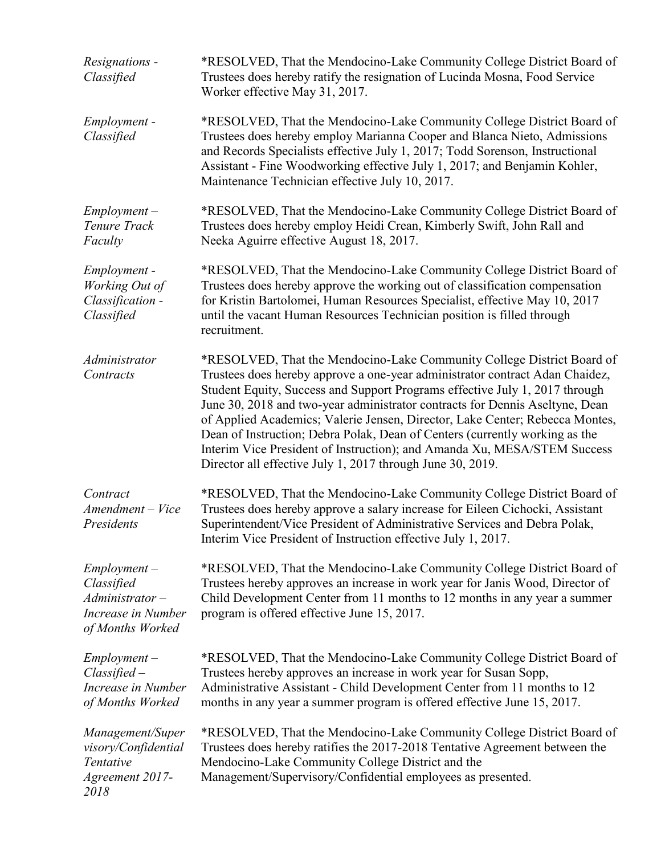| Resignations -<br>Classified                                                                | *RESOLVED, That the Mendocino-Lake Community College District Board of<br>Trustees does hereby ratify the resignation of Lucinda Mosna, Food Service<br>Worker effective May 31, 2017.                                                                                                                                                                                                                                                                                                                                                                                                                                         |  |  |
|---------------------------------------------------------------------------------------------|--------------------------------------------------------------------------------------------------------------------------------------------------------------------------------------------------------------------------------------------------------------------------------------------------------------------------------------------------------------------------------------------------------------------------------------------------------------------------------------------------------------------------------------------------------------------------------------------------------------------------------|--|--|
| Employment -<br>Classified                                                                  | *RESOLVED, That the Mendocino-Lake Community College District Board of<br>Trustees does hereby employ Marianna Cooper and Blanca Nieto, Admissions<br>and Records Specialists effective July 1, 2017; Todd Sorenson, Instructional<br>Assistant - Fine Woodworking effective July 1, 2017; and Benjamin Kohler,<br>Maintenance Technician effective July 10, 2017.                                                                                                                                                                                                                                                             |  |  |
| $Employment -$<br>Tenure Track<br>Faculty                                                   | *RESOLVED, That the Mendocino-Lake Community College District Board of<br>Trustees does hereby employ Heidi Crean, Kimberly Swift, John Rall and<br>Neeka Aguirre effective August 18, 2017.                                                                                                                                                                                                                                                                                                                                                                                                                                   |  |  |
| Employment -<br>Working Out of<br>Classification -<br>Classified                            | *RESOLVED, That the Mendocino-Lake Community College District Board of<br>Trustees does hereby approve the working out of classification compensation<br>for Kristin Bartolomei, Human Resources Specialist, effective May 10, 2017<br>until the vacant Human Resources Technician position is filled through<br>recruitment.                                                                                                                                                                                                                                                                                                  |  |  |
| Administrator<br>Contracts                                                                  | *RESOLVED, That the Mendocino-Lake Community College District Board of<br>Trustees does hereby approve a one-year administrator contract Adan Chaidez,<br>Student Equity, Success and Support Programs effective July 1, 2017 through<br>June 30, 2018 and two-year administrator contracts for Dennis Aseltyne, Dean<br>of Applied Academics; Valerie Jensen, Director, Lake Center; Rebecca Montes,<br>Dean of Instruction; Debra Polak, Dean of Centers (currently working as the<br>Interim Vice President of Instruction); and Amanda Xu, MESA/STEM Success<br>Director all effective July 1, 2017 through June 30, 2019. |  |  |
| Contract<br>Amendment - Vice<br>Presidents                                                  | *RESOLVED, That the Mendocino-Lake Community College District Board of<br>Trustees does hereby approve a salary increase for Eileen Cichocki, Assistant<br>Superintendent/Vice President of Administrative Services and Debra Polak,<br>Interim Vice President of Instruction effective July 1, 2017.                                                                                                                                                                                                                                                                                                                          |  |  |
| $Employment -$<br>Classified<br>$Administrator -$<br>Increase in Number<br>of Months Worked | *RESOLVED, That the Mendocino-Lake Community College District Board of<br>Trustees hereby approves an increase in work year for Janis Wood, Director of<br>Child Development Center from 11 months to 12 months in any year a summer<br>program is offered effective June 15, 2017.                                                                                                                                                                                                                                                                                                                                            |  |  |
| $Employment -$<br>$Classified -$<br>Increase in Number<br>of Months Worked                  | *RESOLVED, That the Mendocino-Lake Community College District Board of<br>Trustees hereby approves an increase in work year for Susan Sopp,<br>Administrative Assistant - Child Development Center from 11 months to 12<br>months in any year a summer program is offered effective June 15, 2017.                                                                                                                                                                                                                                                                                                                             |  |  |
| Management/Super<br>visory/Confidential<br>Tentative<br>Agreement 2017-<br>2018             | *RESOLVED, That the Mendocino-Lake Community College District Board of<br>Trustees does hereby ratifies the 2017-2018 Tentative Agreement between the<br>Mendocino-Lake Community College District and the<br>Management/Supervisory/Confidential employees as presented.                                                                                                                                                                                                                                                                                                                                                      |  |  |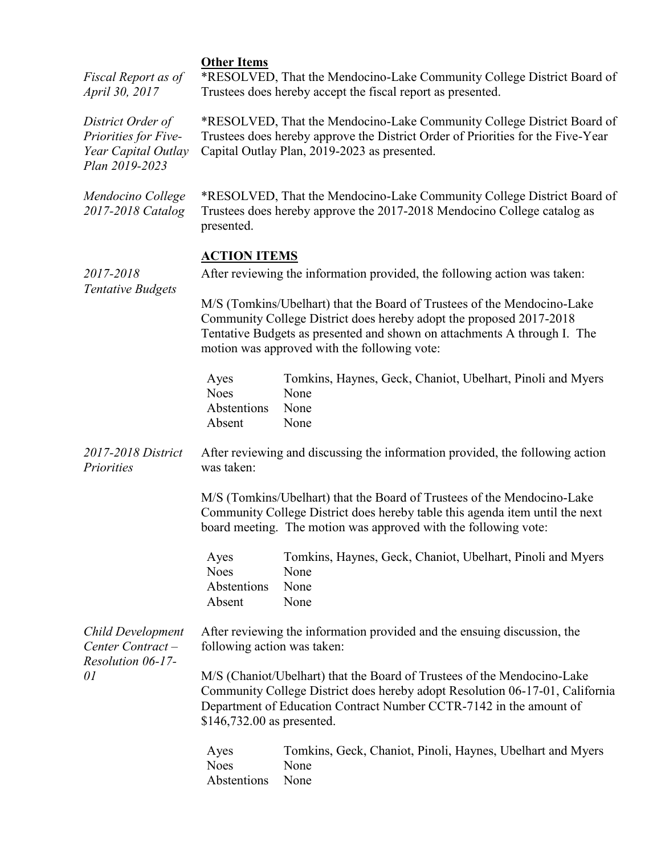| Fiscal Report as of<br>April 30, 2017                                              | <b>Other Items</b><br>*RESOLVED, That the Mendocino-Lake Community College District Board of<br>Trustees does hereby accept the fiscal report as presented.                                                                                                                |                                                                                    |  |
|------------------------------------------------------------------------------------|----------------------------------------------------------------------------------------------------------------------------------------------------------------------------------------------------------------------------------------------------------------------------|------------------------------------------------------------------------------------|--|
| District Order of<br>Priorities for Five-<br>Year Capital Outlay<br>Plan 2019-2023 | *RESOLVED, That the Mendocino-Lake Community College District Board of<br>Trustees does hereby approve the District Order of Priorities for the Five-Year<br>Capital Outlay Plan, 2019-2023 as presented.                                                                  |                                                                                    |  |
| Mendocino College<br>2017-2018 Catalog                                             | *RESOLVED, That the Mendocino-Lake Community College District Board of<br>Trustees does hereby approve the 2017-2018 Mendocino College catalog as<br>presented.                                                                                                            |                                                                                    |  |
| 2017-2018<br><b>Tentative Budgets</b>                                              | <b>ACTION ITEMS</b><br>After reviewing the information provided, the following action was taken:                                                                                                                                                                           |                                                                                    |  |
|                                                                                    | M/S (Tomkins/Ubelhart) that the Board of Trustees of the Mendocino-Lake<br>Community College District does hereby adopt the proposed 2017-2018<br>Tentative Budgets as presented and shown on attachments A through I. The<br>motion was approved with the following vote: |                                                                                    |  |
|                                                                                    | Ayes<br><b>Noes</b><br>Abstentions<br>Absent                                                                                                                                                                                                                               | Tomkins, Haynes, Geck, Chaniot, Ubelhart, Pinoli and Myers<br>None<br>None<br>None |  |
| 2017-2018 District<br>Priorities                                                   | After reviewing and discussing the information provided, the following action<br>was taken:                                                                                                                                                                                |                                                                                    |  |
|                                                                                    | M/S (Tomkins/Ubelhart) that the Board of Trustees of the Mendocino-Lake<br>Community College District does hereby table this agenda item until the next<br>board meeting. The motion was approved with the following vote:                                                 |                                                                                    |  |
|                                                                                    | Ayes<br><b>Noes</b><br>Abstentions<br>Absent                                                                                                                                                                                                                               | Tomkins, Haynes, Geck, Chaniot, Ubelhart, Pinoli and Myers<br>None<br>None<br>None |  |
| <b>Child Development</b><br>Center Contract-<br>Resolution 06-17-<br>01            | After reviewing the information provided and the ensuing discussion, the<br>following action was taken:                                                                                                                                                                    |                                                                                    |  |
|                                                                                    | M/S (Chaniot/Ubelhart) that the Board of Trustees of the Mendocino-Lake<br>Community College District does hereby adopt Resolution 06-17-01, California<br>Department of Education Contract Number CCTR-7142 in the amount of<br>\$146,732.00 as presented.                |                                                                                    |  |
|                                                                                    | Ayes<br><b>Noes</b><br>Abstentions                                                                                                                                                                                                                                         | Tomkins, Geck, Chaniot, Pinoli, Haynes, Ubelhart and Myers<br>None<br>None         |  |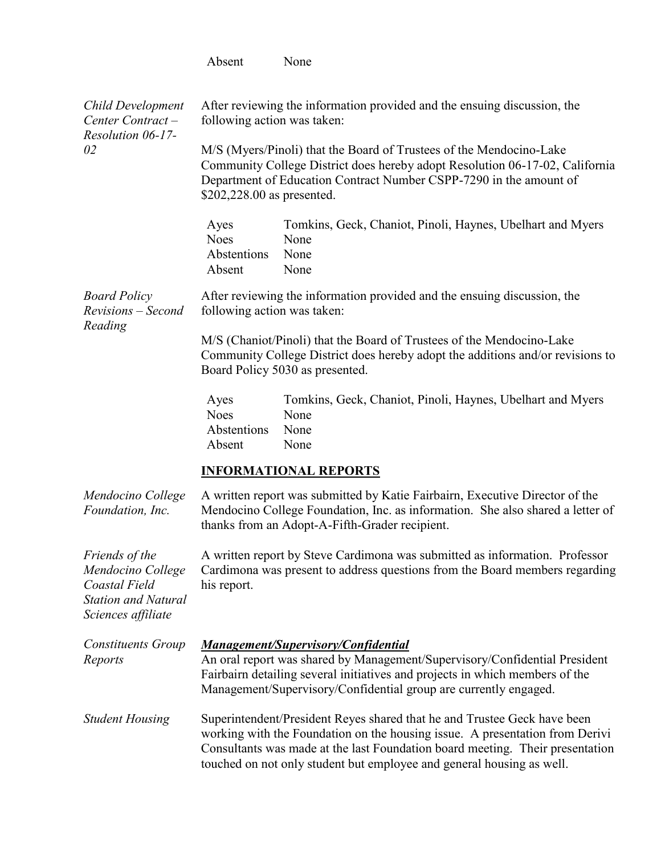|                                                                                                          | Absent                                                                                                                                                                                                                                                                                                                                                             | None                                                                               |  |
|----------------------------------------------------------------------------------------------------------|--------------------------------------------------------------------------------------------------------------------------------------------------------------------------------------------------------------------------------------------------------------------------------------------------------------------------------------------------------------------|------------------------------------------------------------------------------------|--|
| <b>Child Development</b><br>Center Contract-<br>Resolution 06-17-<br>02                                  | After reviewing the information provided and the ensuing discussion, the<br>following action was taken:<br>M/S (Myers/Pinoli) that the Board of Trustees of the Mendocino-Lake<br>Community College District does hereby adopt Resolution 06-17-02, California<br>Department of Education Contract Number CSPP-7290 in the amount of<br>\$202,228.00 as presented. |                                                                                    |  |
|                                                                                                          | Ayes<br><b>Noes</b><br>Abstentions<br>Absent                                                                                                                                                                                                                                                                                                                       | Tomkins, Geck, Chaniot, Pinoli, Haynes, Ubelhart and Myers<br>None<br>None<br>None |  |
| <b>Board Policy</b><br>Revisions – Second<br>Reading                                                     | After reviewing the information provided and the ensuing discussion, the<br>following action was taken:                                                                                                                                                                                                                                                            |                                                                                    |  |
|                                                                                                          | M/S (Chaniot/Pinoli) that the Board of Trustees of the Mendocino-Lake<br>Community College District does hereby adopt the additions and/or revisions to<br>Board Policy 5030 as presented.                                                                                                                                                                         |                                                                                    |  |
|                                                                                                          | Ayes<br><b>Noes</b><br>Abstentions<br>Absent                                                                                                                                                                                                                                                                                                                       | Tomkins, Geck, Chaniot, Pinoli, Haynes, Ubelhart and Myers<br>None<br>None<br>None |  |
|                                                                                                          | <b>INFORMATIONAL REPORTS</b>                                                                                                                                                                                                                                                                                                                                       |                                                                                    |  |
| Mendocino College<br>Foundation, Inc.                                                                    | A written report was submitted by Katie Fairbairn, Executive Director of the<br>Mendocino College Foundation, Inc. as information. She also shared a letter of<br>thanks from an Adopt-A-Fifth-Grader recipient.                                                                                                                                                   |                                                                                    |  |
| Friends of the<br>Mendocino College<br>Coastal Field<br><b>Station and Natural</b><br>Sciences affiliate | A written report by Steve Cardimona was submitted as information. Professor<br>Cardimona was present to address questions from the Board members regarding<br>his report.                                                                                                                                                                                          |                                                                                    |  |
| <b>Constituents Group</b><br>Reports                                                                     | <b>Management/Supervisory/Confidential</b><br>An oral report was shared by Management/Supervisory/Confidential President<br>Fairbairn detailing several initiatives and projects in which members of the<br>Management/Supervisory/Confidential group are currently engaged.                                                                                       |                                                                                    |  |
| <b>Student Housing</b>                                                                                   | Superintendent/President Reyes shared that he and Trustee Geck have been<br>working with the Foundation on the housing issue. A presentation from Derivi<br>Consultants was made at the last Foundation board meeting. Their presentation<br>touched on not only student but employee and general housing as well.                                                 |                                                                                    |  |